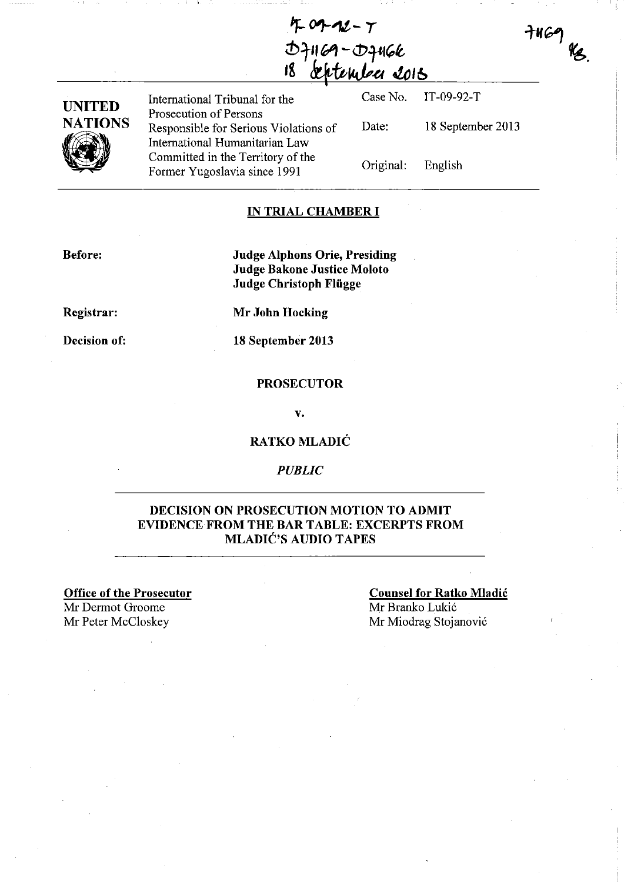**If- 0'J-'1t - T**   $D+1$  $69 - D+166$ **,&** #ft,~.eI **.!.olb** 



International Tribunal for the Case No. Prosecution of Persons Responsible for Serious Violations of Date: International Humanitarian Law<br>Committed in the Territory of the Committed in the Territory of the Original: Former Yugoslavia since 1991

IT-09-92-T 18 September 2013

 $7469$  Kg.

English

### **IN TRIAL CHAMBER I**

**Before:** 

**Judge Alphons Orie, Presiding Judge Bakone Justice Moloto Judge Christoph Fliigge** 

**Registrar:** 

**Mr John Hocking** 

**Decision of:** 

**18 September 2013** 

#### **PROSECUTOR**

**v.** 

**RATKO MLADIC** 

#### *PUBLIC*

### **DECISION ON PROSECUTION MOTION TO ADMIT**  EVIDENCE FROM **THE BAR TABLE: EXCERPTS FROM MLADIC'S AUDIO TAPES**

**Office of the Prosecutor**  Mr Dermot Groome Mr Peter McCloskey Mr Miodrag Stojanović

**Counsel for Ratko Mladic**  Mr Branko Lukić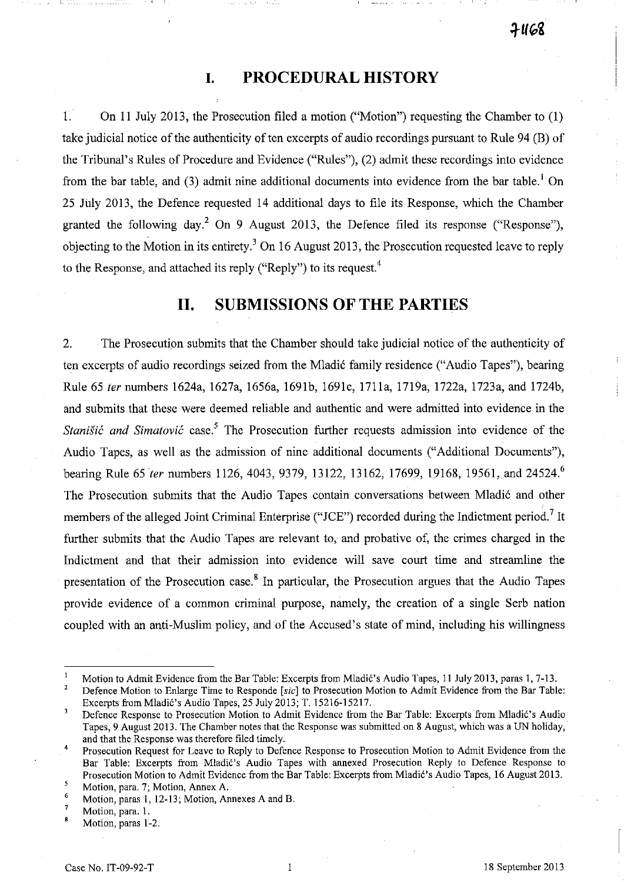# **I. PROCEDURAL HISTORY**

1. On 11 July 2013, the Prosecution filed a motion ("Motion") requesting the Chamber to (I) take judicial notice of the authenticity of ten excerpts of audio recordings pursuant to Rule 94 (B) of the Tribunal's Rules of Procedure and Evidence ("Rules"), (2) admit these recordings into evidence from the bar table, and (3) admit nine additional documents into evidence from the bar table.<sup>1</sup> On 25 July 2013, the Defence requested 14 additional days to file its Response, which the Chamber granted the following day.<sup>2</sup> On 9 August 2013, the Defence filed its response ("Response"), objecting to the Motion in its entirety.<sup>3</sup> On 16 August 2013, the Prosecution requested leave to reply to the Response, and attached its reply ("Reply") to its request.<sup>4</sup>

## **11. SUBMISSIONS OF THE PARTIES**

2. The Prosecution submits that the Chamber should take judicial notice of the authenticity of ten excerpts of audio recordings seized from the Mladić family residence ("Audio Tapes"), bearing Rule 65 *ter* numbers 1624a, 1627a, 1656a, 1691b, 1691c, 1711a, 1719a, 1722a, 1723a, and 1724b, and submits that these were deemed reliable and authentic and were admitted into evidence in the *Stanišić and Simatović* case.<sup>5</sup> The Prosecution further requests admission into evidence of the Audio Tapes, as well as the admission of nine additional documents ("Additional Documents"), bearing Rule 65 *ter* numbers 1126, 4043, 9379, 13122, 13162, 17699, 19168, 19561, and 24524.<sup>6</sup> The Prosecution submits that the Audio Tapes contain conversations between Mladić and other members of the alleged Joint Criminal Enterprise ("JCE") recorded during the Indictment period.<sup>7</sup> It further submits that the Audio Tapes are relevant to, and probative of, the crimes charged in the Indictment and that their admission into evidence will save court time and streamline the presentation of the Prosecution case.<sup>8</sup> In particular, the Prosecution argues that the Audio Tapes provide evidence of a common criminal purpose, namely, the creation of a single Serb nation coupled with an anti-Muslim policy, and of the Accused's state of mind, including his willingness

Defence Motion to Enlarge Time to Responde [sic] to Prosecution Motion to Admit Evidence from the Bar Table: Excerpts from Mladić's Audio Tapes, 25 July 2013; T. 15216-15217.

 $\mathbf{1}$ Motion to Admit Evidence from the Bar Table: Excerpts from Mladić's Audio Tapes, 11 July 2013, paras 1, 7-13.  $\overline{2}$ 

 $\overline{\mathbf{3}}$ Defence Response to Prosecution Motion to Admit Evidence from the Bar Table: Excerpts from Mladi6's Audio Tapes, 9 August 2013. The Chamber notes that the Response was submitted on 8 August, which was a UN holiday,' and that the Response was therefore filed timely.

Prosecution Request for Leave to Reply to Defence Response to Prosecution Motion to Admit Evidence from the 4 Bar Table: Excerpts from Mladic's Audio Tapes with annexed Prosecution Reply to Defence Response to Prosecution Motion to Admit Evidence from the Bar Table: Excerpts from Mladic's Audio Tapes, 16 August 2013.  $\overline{\mathbf{s}}$ 

**Motion, para. 7; Motion, Annex A.** 

Motion, paras 1, 12-13; Motion, Annexes A and B.

**Motion, para. 1.** 

Motion, paras 1-2.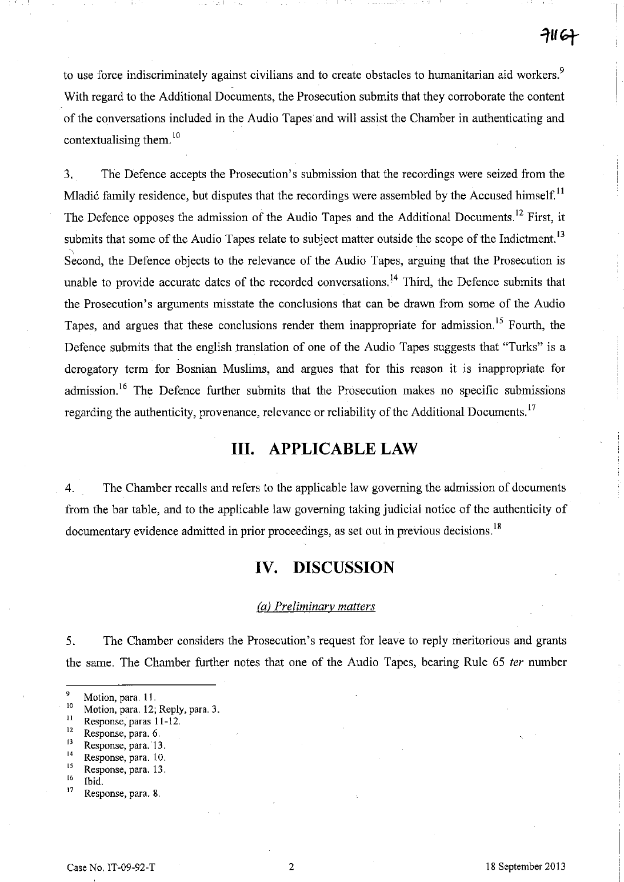to use force indiscriminately against civilians and to create obstacles to humanitarian aid workers.<sup>9</sup> . With regard to the Additional Documents, the Prosecution submits that they corroborate the content of the conversations included in the Audio Tapes and will assist the Chamber in authenticating and contextualising them. $^{10}$ 

3. The Defence accepts the Prosecution's submission that the recordings were seized from the Mladić family residence, but disputes that the recordings were assembled by the Accused himself.<sup>11</sup> The Defence opposes the admission of the Audio Tapes and the Additional Documents.<sup>12</sup> First, it submits that some of the Audio Tapes relate to subject matter outside the scope of the Indictment.<sup>13</sup> Second, the Defence objects to the relevance of the Audio Tapes, arguing that the Prosecution is unable to provide accurate dates of the recorded conversations.<sup>14</sup> Third, the Defence submits that the Prosecution's arguments misstate the conclusions that can be drawn from some of the Audio Tapes, and argues that these conclusions render them inappropriate for admission.<sup>15</sup> Fourth, the Defence submits that the english translation of one of the Audio Tapes suggests that "Turks" is a derogatory term for Bosnian Muslims, and argues that for this reason it is inappropriate for admission.<sup>16</sup> The Defence further submits that the Prosecution makes no specific submissions regarding the authenticity, provenance, relevance or reliability of the Additional Documents.<sup>17</sup>

# **Ill. APPLICABLE LAW**

4. The Chamber recalls and refers to the applicable law governing the admission of documents from the bar table, and to the applicable law governing taking judicial notice of the authenticity of documentary evidence admitted in prior proceedings, as set out in previous decisions.<sup>18</sup>

# **IV. DISCUSSION**

#### (a) Preliminary matters

5. The Chamber considers the Prosecution's request for leave to reply meritorious and grants the same. The Chamber further notes that one of the Audio Tapes, bearing Rule 65 fer number

- **12 Response, para. 6.**
- **<sup>13</sup>Response, para. 13.**
- $14$  Response, para. 10.
- $\frac{15}{16}$  Response, para. 13.
- $\frac{16}{17}$  Ibid.
- **17 Response, para. 8.**

 $\frac{9}{10}$  Motion, para. 11.

<sup>&</sup>lt;sup>10</sup> Motion, para. 12; Reply, para. 3.<br><sup>11</sup> Peanonse **Paras** 11.12

<sup>&</sup>lt;sup>11</sup> Response, paras 11-12.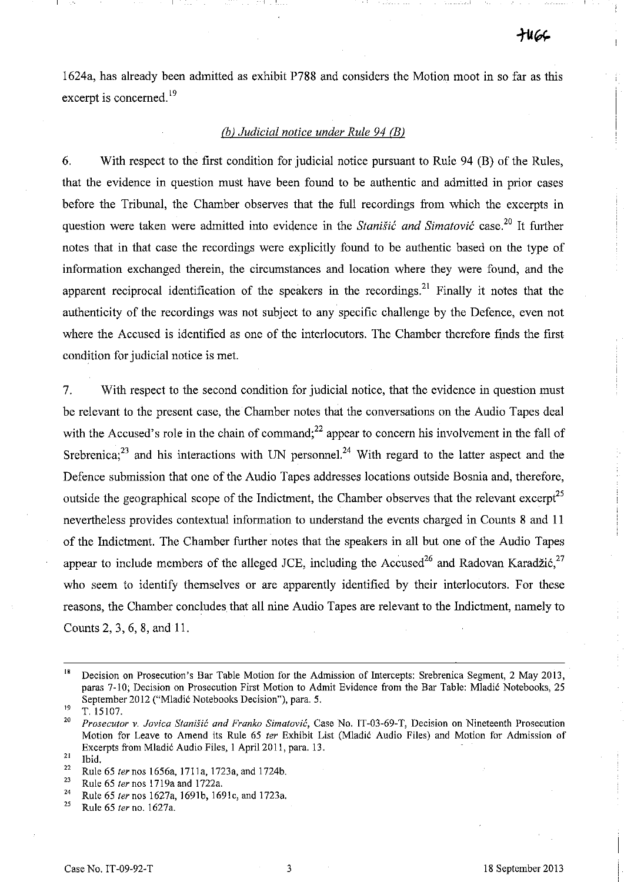- - - \_\_ ~\_I

1624a, has already been admitted as exhibit P788 and considers the Motion moot in so far as this excerpt is concerned.<sup>19</sup>

### (h) *Judicial notice under Rule* 94 *CB)*

6. With respect to the first condition for judicial notice pursuant to Rule 94 (B) of the Rules, that the evidence in question must have been found to be authentic and admitted in prior cases before the Tribunal, the Chamber observes that the full recordings from which the excerpts in question were taken were admitted into evidence in the *Stanišić and Simatović* case.<sup>20</sup> It further notes that in that case the recordings were explicitly found to be authentic based on the type of information exchanged therein, the circumstances and location where they were found, and the apparent reciprocal identification of the speakers in the recordings.<sup>21</sup> Finally it notes that the authenticity of the recordings was not subject to any specific challenge by the Defence, even not where the Accused is identified as one of the interlocutors. The Chamber therefore finds the first condition for judicial notice is met.

7. With respect to the second condition for judicial notice, that the evidence in question must be relevant to the present case, the Chamber notes that the conversations on the Audio Tapes deal with the Accused's role in the chain of command;<sup>22</sup> appear to concern his involvement in the fall of Srebrenica;<sup>23</sup> and his interactions with UN personnel.<sup>24</sup> With regard to the latter aspect and the Defence submission that one of the Audio Tapes addresses locations outside Bosnia and, therefore, outside the geographical scope of the Indictment, the Chamber observes that the relevant excerpt<sup>25</sup> nevertheless provides contextual information to understand the events charged in Counts 8 and 11 of the Indictment. The Chamber further notes that the speakers in all but one of the Audio Tapes appear to include members of the alleged JCE, including the Accused<sup>26</sup> and Radovan Karadžić,<sup>27</sup> who seem to identify themselves or are apparently identified by their interlocutors. For these reasons, the Chamber concludes that all nine Audio Tapes are relevant to the Indictment, namely to Counts 2, 3, 6, 8, and 11.

<sup>&</sup>lt;sup>18</sup> Decision on Prosecution's Bar Table Motion for the Admission of Intercepts: Srebrenica Segment, 2 May 2013, paras 7-10; Decision on Prosecution First Motion to Admit Evidence from the Bar Table: Mladić Notebooks, 25 September 2012 ("Mladić Notebooks Decision"), para. 5.

 $^{19}$  T. 15107.

*<sup>20</sup> Prosecutor v. Jov;ca Stanisic and Franko Simatovic,* **Case No. IT-03-69-T, Decision on Nineteenth Prosecution**  Motion for Leave to Amend its Rule 65 *ter* Exhibit List (Mladic Audio Files) and Motion for Admission of Excerpts from Mladic Audio Files, 1 April 2011, para. 13.

 $rac{21}{22}$  Ibid.

<sup>&</sup>lt;sup>22</sup> Rule 65 *ter* nos 1656a, 1711a, 1723a, and 1724b.

<sup>23</sup> Rule 65 *ter* nos 17l9a and l722a.

<sup>24</sup> Rule 65 *ternos* 1627a, l691b, 1691c, and 1723a.

<sup>25</sup> Rule 65 *ter* no. 1627a.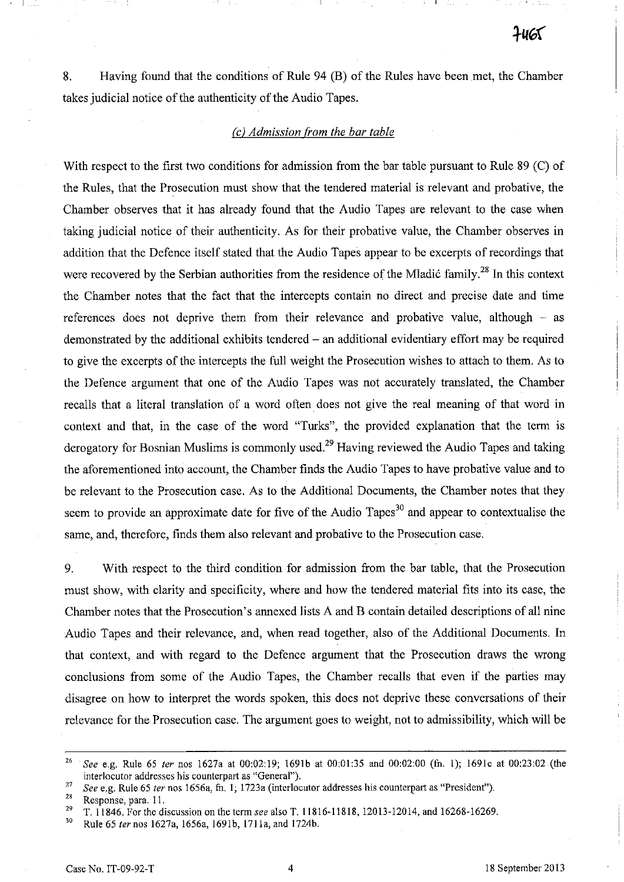8. Having found that the conditions of Rule 94 (B) of the Rules have been met, the Chamber takes judicial notice of the authenticity of the Audio Tapes.

#### *(c) Admission from the bar table*

With respect to the first two conditions for admission from the bar table pursuant to Rule 89 (C) of the Rules, that the Prosecution must show that the tendered material is relevant and probative, the Chamber observes that it has already found that the Audio Tapes are relevant to the case when taking judicial notice of their authenticity. As for their probative value, the Chamber observes in addition that the Defence itself stated that the Audio Tapes appear to be excerpts ofrecordings that were recovered by the Serbian authorities from the residence of the Mladić family.<sup>28</sup> In this context the Chamber notes that the fact that the intercepts contain no direct and precise date and time references does not deprive them from their relevance and probative value, although  $-$  as demonstrated by the additional exhibits tendered  $-$  an additional evidentiary effort may be required to give the excerpts of the intercepts the full weight the Prosecution wishes to attach to them. As to the Defence argument that one of the Audio Tapes was not accurately translated, the Chamber recalls that a literal translation of a word often does not give the real meaning of that word in context and that, in the case of the word "Turks", the provided explanation that the term is derogatory for Bosnian Muslims is commonly used.<sup>29</sup> Having reviewed the Audio Tapes and taking the aforementioned into account, the Chamber finds the Audio Tapes to have probative value and to be relevant to the Prosecution case. As to the Additional Documents, the Chamber notes that they seem to provide an approximate date for five of the Audio Tapes<sup>30</sup> and appear to contextualise the same, and, therefore, finds them also relevant and probative to the Prosecution case.

9. With respect to the third condition for admission from the bar table, that the Prosecution must show, with clarity and specificity, where and how the tendered material fits into its case, the Chamber notes that the Prosecution's annexed lists A and B contain detailed descriptions of all nine Audio Tapes and their relevance, and, when read together, also of the Additional Documents. In that context, and with regard to the Defence argument that the Prosecution draws the wrong conclusions from some of the Audio Tapes, the Chamber recalls that even if the parties may disagree on how to interpret the words spoken, this does not deprive these conversations of their relevance for the Prosecution case. The argument goes to weight, not to admissibility, which will be

<sup>26</sup>*See* e.g. Rule 65 *ter* nos 1627a at 00:02:19; 1691b at 00:01:35 and 00:02:00 (fn. I); 1691c at 00:23:02 (the interlocutor addresses his counterpart as "General").

<sup>&</sup>lt;sup>27</sup> See e.g. Rule 65 *ter* nos 1656a, fn. 1; 1723a (interlocutor addresses his counterpart as "President").

<sup>&</sup>lt;sup>28</sup> Response, para. 11.<br><sup>29</sup> T 11846 For the di

<sup>29</sup> T. 11846. For the discussion on the term *see* also T. 11816-11818, 12013-12014, and 16268-16269.

<sup>30</sup> Rule 65 *ter* nos 1627a, 1656a, 1691b, 1711a, and 1724b.